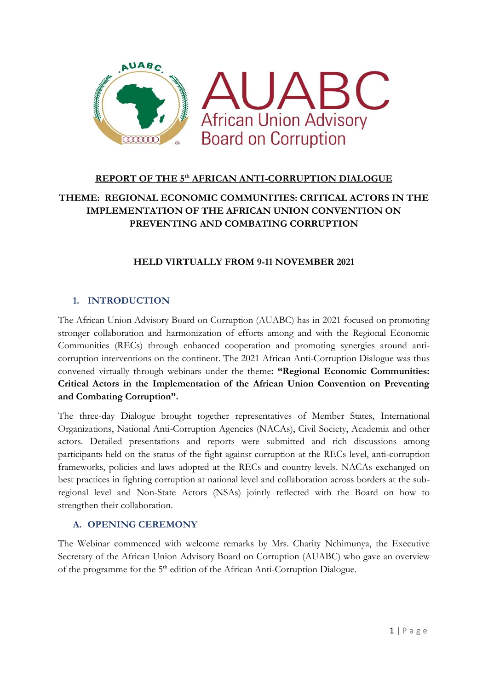

# **REPORT OF THE 5th AFRICAN ANTI-CORRUPTION DIALOGUE THEME: REGIONAL ECONOMIC COMMUNITIES: CRITICAL ACTORS IN THE IMPLEMENTATION OF THE AFRICAN UNION CONVENTION ON PREVENTING AND COMBATING CORRUPTION**

### **HELD VIRTUALLY FROM 9-11 NOVEMBER 2021**

### **1. INTRODUCTION**

The African Union Advisory Board on Corruption (AUABC) has in 2021 focused on promoting stronger collaboration and harmonization of efforts among and with the Regional Economic Communities (RECs) through enhanced cooperation and promoting synergies around anticorruption interventions on the continent. The 2021 African Anti-Corruption Dialogue was thus convened virtually through webinars under the theme**: "Regional Economic Communities: Critical Actors in the Implementation of the African Union Convention on Preventing and Combating Corruption".**

The three-day Dialogue brought together representatives of Member States, International Organizations, National Anti-Corruption Agencies (NACAs), Civil Society, Academia and other actors. Detailed presentations and reports were submitted and rich discussions among participants held on the status of the fight against corruption at the RECs level, anti-corruption frameworks, policies and laws adopted at the RECs and country levels. NACAs exchanged on best practices in fighting corruption at national level and collaboration across borders at the subregional level and Non-State Actors (NSAs) jointly reflected with the Board on how to strengthen their collaboration.

### **A. OPENING CEREMONY**

The Webinar commenced with welcome remarks by Mrs. Charity Nchimunya, the Executive Secretary of the African Union Advisory Board on Corruption (AUABC) who gave an overview of the programme for the 5<sup>th</sup> edition of the African Anti-Corruption Dialogue.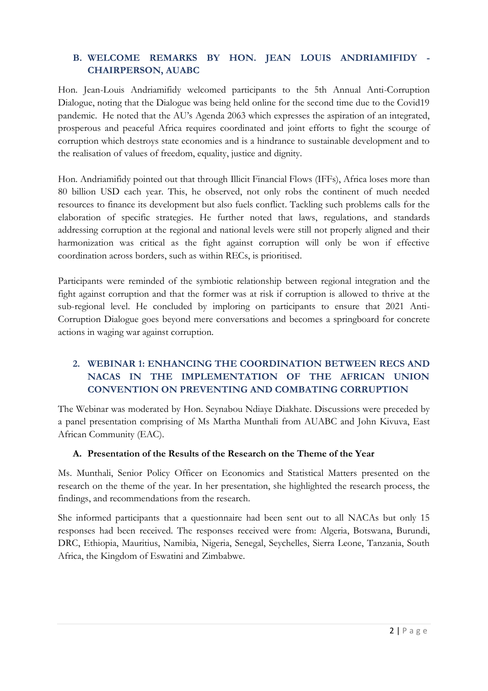### **B. WELCOME REMARKS BY HON. JEAN LOUIS ANDRIAMIFIDY - CHAIRPERSON, AUABC**

Hon. Jean-Louis Andriamifidy welcomed participants to the 5th Annual Anti-Corruption Dialogue, noting that the Dialogue was being held online for the second time due to the Covid19 pandemic. He noted that the AU's Agenda 2063 which expresses the aspiration of an integrated, prosperous and peaceful Africa requires coordinated and joint efforts to fight the scourge of corruption which destroys state economies and is a hindrance to sustainable development and to the realisation of values of freedom, equality, justice and dignity.

Hon. Andriamifidy pointed out that through Illicit Financial Flows (IFFs), Africa loses more than 80 billion USD each year. This, he observed, not only robs the continent of much needed resources to finance its development but also fuels conflict. Tackling such problems calls for the elaboration of specific strategies. He further noted that laws, regulations, and standards addressing corruption at the regional and national levels were still not properly aligned and their harmonization was critical as the fight against corruption will only be won if effective coordination across borders, such as within RECs, is prioritised.

Participants were reminded of the symbiotic relationship between regional integration and the fight against corruption and that the former was at risk if corruption is allowed to thrive at the sub-regional level. He concluded by imploring on participants to ensure that 2021 Anti-Corruption Dialogue goes beyond mere conversations and becomes a springboard for concrete actions in waging war against corruption.

### **2. WEBINAR 1: ENHANCING THE COORDINATION BETWEEN RECS AND NACAS IN THE IMPLEMENTATION OF THE AFRICAN UNION CONVENTION ON PREVENTING AND COMBATING CORRUPTION**

The Webinar was moderated by Hon. Seynabou Ndiaye Diakhate. Discussions were preceded by a panel presentation comprising of Ms Martha Munthali from AUABC and John Kivuva, East African Community (EAC).

### **A. Presentation of the Results of the Research on the Theme of the Year**

Ms. Munthali, Senior Policy Officer on Economics and Statistical Matters presented on the research on the theme of the year. In her presentation, she highlighted the research process, the findings, and recommendations from the research.

She informed participants that a questionnaire had been sent out to all NACAs but only 15 responses had been received. The responses received were from: Algeria, Botswana, Burundi, DRC, Ethiopia, Mauritius, Namibia, Nigeria, Senegal, Seychelles, Sierra Leone, Tanzania, South Africa, the Kingdom of Eswatini and Zimbabwe.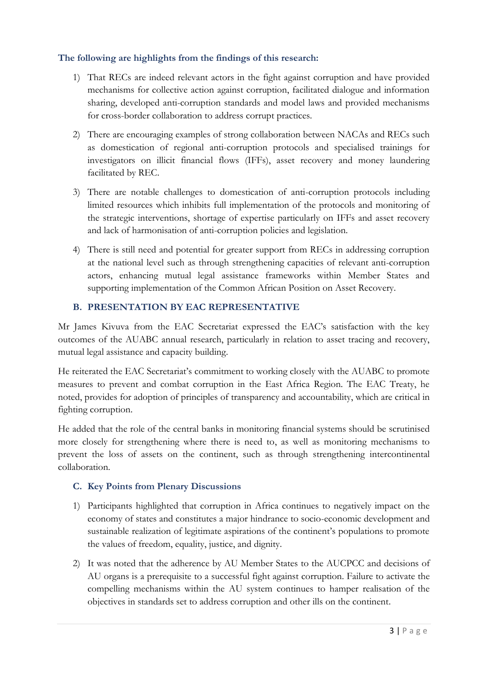### **The following are highlights from the findings of this research:**

- 1) That RECs are indeed relevant actors in the fight against corruption and have provided mechanisms for collective action against corruption, facilitated dialogue and information sharing, developed anti-corruption standards and model laws and provided mechanisms for cross-border collaboration to address corrupt practices.
- 2) There are encouraging examples of strong collaboration between NACAs and RECs such as domestication of regional anti-corruption protocols and specialised trainings for investigators on illicit financial flows (IFFs), asset recovery and money laundering facilitated by REC.
- 3) There are notable challenges to domestication of anti-corruption protocols including limited resources which inhibits full implementation of the protocols and monitoring of the strategic interventions, shortage of expertise particularly on IFFs and asset recovery and lack of harmonisation of anti-corruption policies and legislation.
- 4) There is still need and potential for greater support from RECs in addressing corruption at the national level such as through strengthening capacities of relevant anti-corruption actors, enhancing mutual legal assistance frameworks within Member States and supporting implementation of the Common African Position on Asset Recovery.

### **B. PRESENTATION BY EAC REPRESENTATIVE**

Mr James Kivuva from the EAC Secretariat expressed the EAC's satisfaction with the key outcomes of the AUABC annual research, particularly in relation to asset tracing and recovery, mutual legal assistance and capacity building.

He reiterated the EAC Secretariat's commitment to working closely with the AUABC to promote measures to prevent and combat corruption in the East Africa Region. The EAC Treaty, he noted, provides for adoption of principles of transparency and accountability, which are critical in fighting corruption.

He added that the role of the central banks in monitoring financial systems should be scrutinised more closely for strengthening where there is need to, as well as monitoring mechanisms to prevent the loss of assets on the continent, such as through strengthening intercontinental collaboration.

### **C. Key Points from Plenary Discussions**

- 1) Participants highlighted that corruption in Africa continues to negatively impact on the economy of states and constitutes a major hindrance to socio-economic development and sustainable realization of legitimate aspirations of the continent's populations to promote the values of freedom, equality, justice, and dignity.
- 2) It was noted that the adherence by AU Member States to the AUCPCC and decisions of AU organs is a prerequisite to a successful fight against corruption. Failure to activate the compelling mechanisms within the AU system continues to hamper realisation of the objectives in standards set to address corruption and other ills on the continent.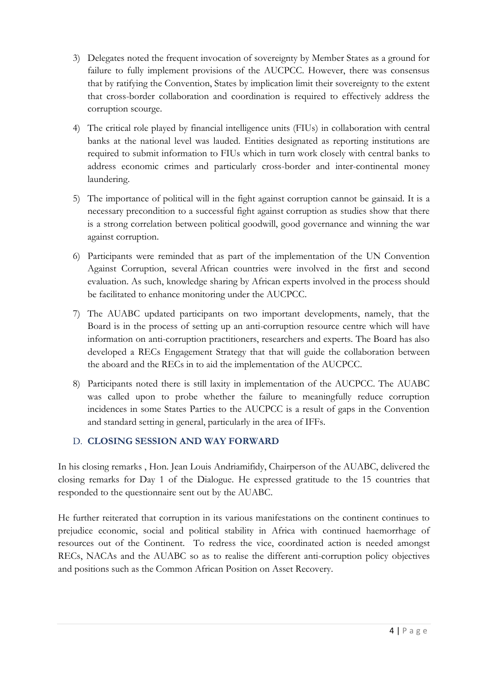- 3) Delegates noted the frequent invocation of sovereignty by Member States as a ground for failure to fully implement provisions of the AUCPCC. However, there was consensus that by ratifying the Convention, States by implication limit their sovereignty to the extent that cross-border collaboration and coordination is required to effectively address the corruption scourge.
- 4) The critical role played by financial intelligence units (FIUs) in collaboration with central banks at the national level was lauded. Entities designated as reporting institutions are required to submit information to FIUs which in turn work closely with central banks to address economic crimes and particularly cross-border and inter-continental money laundering.
- 5) The importance of political will in the fight against corruption cannot be gainsaid. It is a necessary precondition to a successful fight against corruption as studies show that there is a strong correlation between political goodwill, good governance and winning the war against corruption.
- 6) Participants were reminded that as part of the implementation of the UN Convention Against Corruption, several African countries were involved in the first and second evaluation. As such, knowledge sharing by African experts involved in the process should be facilitated to enhance monitoring under the AUCPCC.
- 7) The AUABC updated participants on two important developments, namely, that the Board is in the process of setting up an anti-corruption resource centre which will have information on anti-corruption practitioners, researchers and experts. The Board has also developed a RECs Engagement Strategy that that will guide the collaboration between the aboard and the RECs in to aid the implementation of the AUCPCC.
- 8) Participants noted there is still laxity in implementation of the AUCPCC. The AUABC was called upon to probe whether the failure to meaningfully reduce corruption incidences in some States Parties to the AUCPCC is a result of gaps in the Convention and standard setting in general, particularly in the area of IFFs.

### D. **CLOSING SESSION AND WAY FORWARD**

In his closing remarks , Hon. Jean Louis Andriamifidy, Chairperson of the AUABC, delivered the closing remarks for Day 1 of the Dialogue. He expressed gratitude to the 15 countries that responded to the questionnaire sent out by the AUABC.

He further reiterated that corruption in its various manifestations on the continent continues to prejudice economic, social and political stability in Africa with continued haemorrhage of resources out of the Continent. To redress the vice, coordinated action is needed amongst RECs, NACAs and the AUABC so as to realise the different anti-corruption policy objectives and positions such as the Common African Position on Asset Recovery.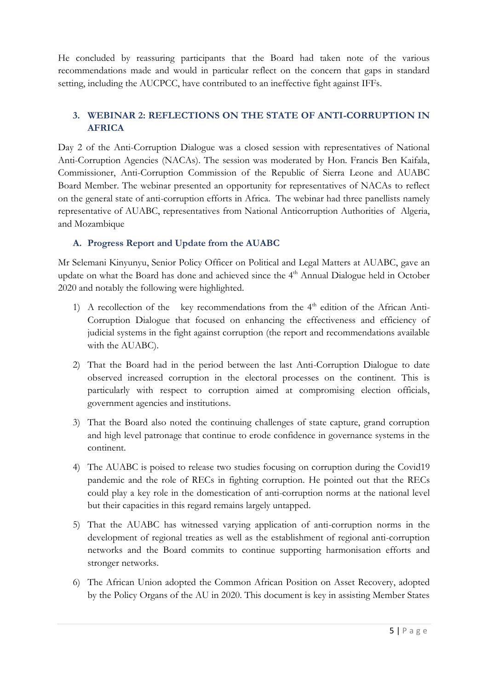He concluded by reassuring participants that the Board had taken note of the various recommendations made and would in particular reflect on the concern that gaps in standard setting, including the AUCPCC, have contributed to an ineffective fight against IFFs.

### **3. WEBINAR 2: REFLECTIONS ON THE STATE OF ANTI-CORRUPTION IN AFRICA**

Day 2 of the Anti-Corruption Dialogue was a closed session with representatives of National Anti-Corruption Agencies (NACAs). The session was moderated by Hon. Francis Ben Kaifala, Commissioner, Anti-Corruption Commission of the Republic of Sierra Leone and AUABC Board Member. The webinar presented an opportunity for representatives of NACAs to reflect on the general state of anti-corruption efforts in Africa. The webinar had three panellists namely representative of AUABC, representatives from National Anticorruption Authorities of Algeria, and Mozambique

### **A. Progress Report and Update from the AUABC**

Mr Selemani Kinyunyu, Senior Policy Officer on Political and Legal Matters at AUABC, gave an update on what the Board has done and achieved since the 4<sup>th</sup> Annual Dialogue held in October 2020 and notably the following were highlighted.

- 1) A recollection of the key recommendations from the  $4<sup>th</sup>$  edition of the African Anti-Corruption Dialogue that focused on enhancing the effectiveness and efficiency of judicial systems in the fight against corruption (the report and recommendations available with the AUABC).
- 2) That the Board had in the period between the last Anti-Corruption Dialogue to date observed increased corruption in the electoral processes on the continent. This is particularly with respect to corruption aimed at compromising election officials, government agencies and institutions.
- 3) That the Board also noted the continuing challenges of state capture, grand corruption and high level patronage that continue to erode confidence in governance systems in the continent.
- 4) The AUABC is poised to release two studies focusing on corruption during the Covid19 pandemic and the role of RECs in fighting corruption. He pointed out that the RECs could play a key role in the domestication of anti-corruption norms at the national level but their capacities in this regard remains largely untapped.
- 5) That the AUABC has witnessed varying application of anti-corruption norms in the development of regional treaties as well as the establishment of regional anti-corruption networks and the Board commits to continue supporting harmonisation efforts and stronger networks.
- 6) The African Union adopted the Common African Position on Asset Recovery, adopted by the Policy Organs of the AU in 2020. This document is key in assisting Member States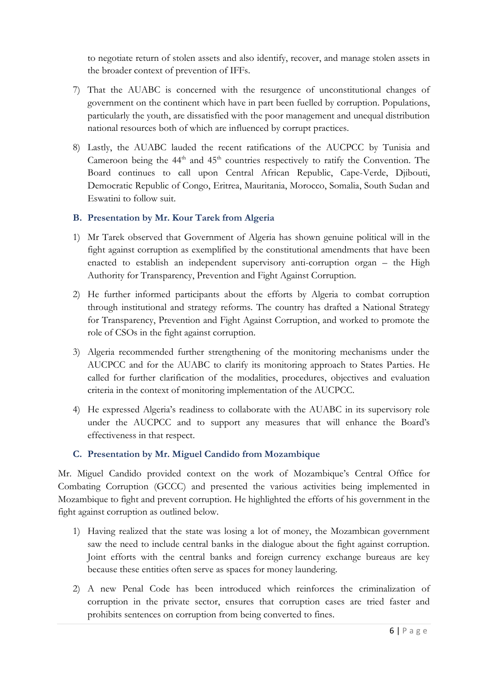to negotiate return of stolen assets and also identify, recover, and manage stolen assets in the broader context of prevention of IFFs.

- 7) That the AUABC is concerned with the resurgence of unconstitutional changes of government on the continent which have in part been fuelled by corruption. Populations, particularly the youth, are dissatisfied with the poor management and unequal distribution national resources both of which are influenced by corrupt practices.
- 8) Lastly, the AUABC lauded the recent ratifications of the AUCPCC by Tunisia and Cameroon being the  $44<sup>th</sup>$  and  $45<sup>th</sup>$  countries respectively to ratify the Convention. The Board continues to call upon Central African Republic, Cape-Verde, Djibouti, Democratic Republic of Congo, Eritrea, Mauritania, Morocco, Somalia, South Sudan and Eswatini to follow suit.

### **B. Presentation by Mr. Kour Tarek from Algeria**

- 1) Mr Tarek observed that Government of Algeria has shown genuine political will in the fight against corruption as exemplified by the constitutional amendments that have been enacted to establish an independent supervisory anti-corruption organ – the High Authority for Transparency, Prevention and Fight Against Corruption.
- 2) He further informed participants about the efforts by Algeria to combat corruption through institutional and strategy reforms. The country has drafted a National Strategy for Transparency, Prevention and Fight Against Corruption, and worked to promote the role of CSOs in the fight against corruption.
- 3) Algeria recommended further strengthening of the monitoring mechanisms under the AUCPCC and for the AUABC to clarify its monitoring approach to States Parties. He called for further clarification of the modalities, procedures, objectives and evaluation criteria in the context of monitoring implementation of the AUCPCC.
- 4) He expressed Algeria's readiness to collaborate with the AUABC in its supervisory role under the AUCPCC and to support any measures that will enhance the Board's effectiveness in that respect.

### **C. Presentation by Mr. Miguel Candido from Mozambique**

Mr. Miguel Candido provided context on the work of Mozambique's Central Office for Combating Corruption (GCCC) and presented the various activities being implemented in Mozambique to fight and prevent corruption. He highlighted the efforts of his government in the fight against corruption as outlined below.

- 1) Having realized that the state was losing a lot of money, the Mozambican government saw the need to include central banks in the dialogue about the fight against corruption. Joint efforts with the central banks and foreign currency exchange bureaus are key because these entities often serve as spaces for money laundering.
- 2) A new Penal Code has been introduced which reinforces the criminalization of corruption in the private sector, ensures that corruption cases are tried faster and prohibits sentences on corruption from being converted to fines.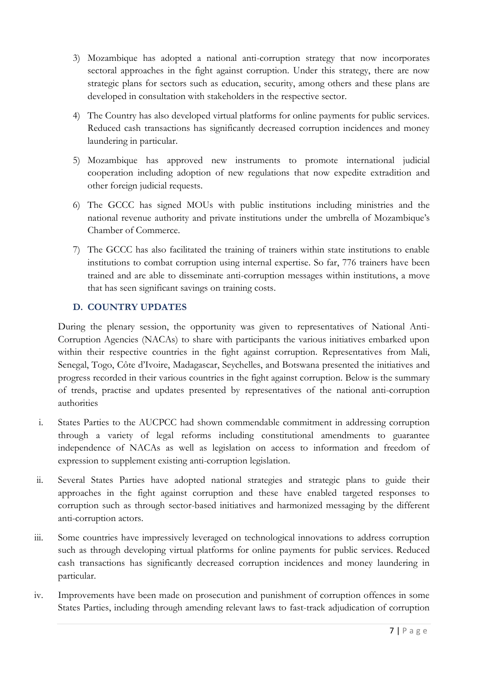- 3) Mozambique has adopted a national anti-corruption strategy that now incorporates sectoral approaches in the fight against corruption. Under this strategy, there are now strategic plans for sectors such as education, security, among others and these plans are developed in consultation with stakeholders in the respective sector.
- 4) The Country has also developed virtual platforms for online payments for public services. Reduced cash transactions has significantly decreased corruption incidences and money laundering in particular.
- 5) Mozambique has approved new instruments to promote international judicial cooperation including adoption of new regulations that now expedite extradition and other foreign judicial requests.
- 6) The GCCC has signed MOUs with public institutions including ministries and the national revenue authority and private institutions under the umbrella of Mozambique's Chamber of Commerce.
- 7) The GCCC has also facilitated the training of trainers within state institutions to enable institutions to combat corruption using internal expertise. So far, 776 trainers have been trained and are able to disseminate anti-corruption messages within institutions, a move that has seen significant savings on training costs.

### **D. COUNTRY UPDATES**

During the plenary session, the opportunity was given to representatives of National Anti-Corruption Agencies (NACAs) to share with participants the various initiatives embarked upon within their respective countries in the fight against corruption. Representatives from Mali, Senegal, Togo, Côte d'Ivoire, Madagascar, Seychelles, and Botswana presented the initiatives and progress recorded in their various countries in the fight against corruption. Below is the summary of trends, practise and updates presented by representatives of the national anti-corruption authorities

- i. States Parties to the AUCPCC had shown commendable commitment in addressing corruption through a variety of legal reforms including constitutional amendments to guarantee independence of NACAs as well as legislation on access to information and freedom of expression to supplement existing anti-corruption legislation.
- ii. Several States Parties have adopted national strategies and strategic plans to guide their approaches in the fight against corruption and these have enabled targeted responses to corruption such as through sector-based initiatives and harmonized messaging by the different anti-corruption actors.
- iii. Some countries have impressively leveraged on technological innovations to address corruption such as through developing virtual platforms for online payments for public services. Reduced cash transactions has significantly decreased corruption incidences and money laundering in particular.
- iv. Improvements have been made on prosecution and punishment of corruption offences in some States Parties, including through amending relevant laws to fast-track adjudication of corruption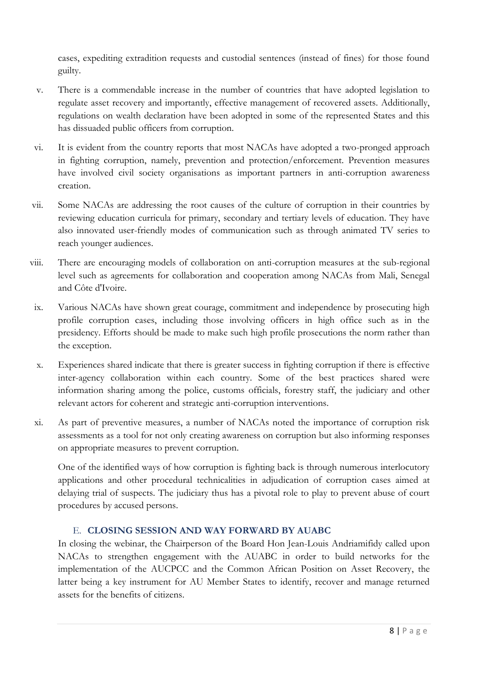cases, expediting extradition requests and custodial sentences (instead of fines) for those found guilty.

- v. There is a commendable increase in the number of countries that have adopted legislation to regulate asset recovery and importantly, effective management of recovered assets. Additionally, regulations on wealth declaration have been adopted in some of the represented States and this has dissuaded public officers from corruption.
- vi. It is evident from the country reports that most NACAs have adopted a two-pronged approach in fighting corruption, namely, prevention and protection/enforcement. Prevention measures have involved civil society organisations as important partners in anti-corruption awareness creation.
- vii. Some NACAs are addressing the root causes of the culture of corruption in their countries by reviewing education curricula for primary, secondary and tertiary levels of education. They have also innovated user-friendly modes of communication such as through animated TV series to reach younger audiences.
- viii. There are encouraging models of collaboration on anti-corruption measures at the sub-regional level such as agreements for collaboration and cooperation among NACAs from Mali, Senegal and Côte d'Ivoire.
- ix. Various NACAs have shown great courage, commitment and independence by prosecuting high profile corruption cases, including those involving officers in high office such as in the presidency. Efforts should be made to make such high profile prosecutions the norm rather than the exception.
- x. Experiences shared indicate that there is greater success in fighting corruption if there is effective inter-agency collaboration within each country. Some of the best practices shared were information sharing among the police, customs officials, forestry staff, the judiciary and other relevant actors for coherent and strategic anti-corruption interventions.
- xi. As part of preventive measures, a number of NACAs noted the importance of corruption risk assessments as a tool for not only creating awareness on corruption but also informing responses on appropriate measures to prevent corruption.

One of the identified ways of how corruption is fighting back is through numerous interlocutory applications and other procedural technicalities in adjudication of corruption cases aimed at delaying trial of suspects. The judiciary thus has a pivotal role to play to prevent abuse of court procedures by accused persons.

### E. **CLOSING SESSION AND WAY FORWARD BY AUABC**

In closing the webinar, the Chairperson of the Board Hon Jean-Louis Andriamifidy called upon NACAs to strengthen engagement with the AUABC in order to build networks for the implementation of the AUCPCC and the Common African Position on Asset Recovery, the latter being a key instrument for AU Member States to identify, recover and manage returned assets for the benefits of citizens.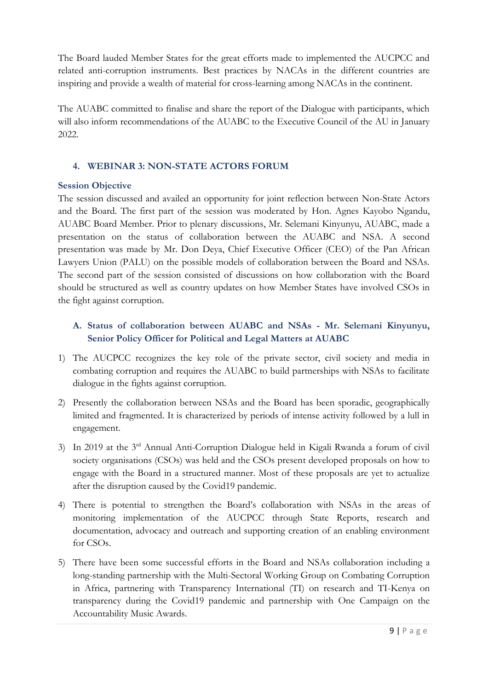The Board lauded Member States for the great efforts made to implemented the AUCPCC and related anti-corruption instruments. Best practices by NACAs in the different countries are inspiring and provide a wealth of material for cross-learning among NACAs in the continent.

The AUABC committed to finalise and share the report of the Dialogue with participants, which will also inform recommendations of the AUABC to the Executive Council of the AU in January 2022.

### **4. WEBINAR 3: NON-STATE ACTORS FORUM**

### **Session Objective**

The session discussed and availed an opportunity for joint reflection between Non-State Actors and the Board. The first part of the session was moderated by Hon. Agnes Kayobo Ngandu, AUABC Board Member. Prior to plenary discussions, Mr. Selemani Kinyunyu, AUABC, made a presentation on the status of collaboration between the AUABC and NSA. A second presentation was made by Mr. Don Deya, Chief Executive Officer (CEO) of the Pan African Lawyers Union (PALU) on the possible models of collaboration between the Board and NSAs. The second part of the session consisted of discussions on how collaboration with the Board should be structured as well as country updates on how Member States have involved CSOs in the fight against corruption.

## **A. Status of collaboration between AUABC and NSAs - Mr. Selemani Kinyunyu, Senior Policy Officer for Political and Legal Matters at AUABC**

- 1) The AUCPCC recognizes the key role of the private sector, civil society and media in combating corruption and requires the AUABC to build partnerships with NSAs to facilitate dialogue in the fights against corruption.
- 2) Presently the collaboration between NSAs and the Board has been sporadic, geographically limited and fragmented. It is characterized by periods of intense activity followed by a lull in engagement.
- 3) In 2019 at the 3rd Annual Anti-Corruption Dialogue held in Kigali Rwanda a forum of civil society organisations (CSOs) was held and the CSOs present developed proposals on how to engage with the Board in a structured manner. Most of these proposals are yet to actualize after the disruption caused by the Covid19 pandemic.
- 4) There is potential to strengthen the Board's collaboration with NSAs in the areas of monitoring implementation of the AUCPCC through State Reports, research and documentation, advocacy and outreach and supporting creation of an enabling environment for CSOs.
- 5) There have been some successful efforts in the Board and NSAs collaboration including a long-standing partnership with the Multi-Sectoral Working Group on Combating Corruption in Africa, partnering with Transparency International (TI) on research and TI-Kenya on transparency during the Covid19 pandemic and partnership with One Campaign on the Accountability Music Awards.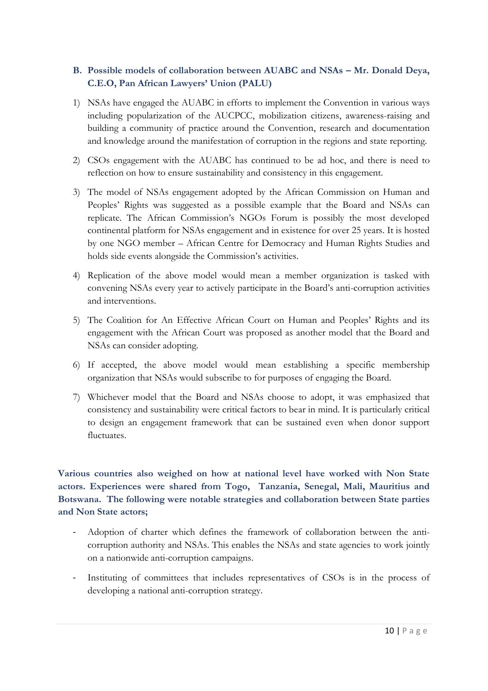### B. Possible models of collaboration between AUABC and NSAs – Mr. Donald Deya, **C.E.O, Pan African Lawyers' Union (PALU)**

- 1) NSAs have engaged the AUABC in efforts to implement the Convention in various ways including popularization of the AUCPCC, mobilization citizens, awareness-raising and building a community of practice around the Convention, research and documentation and knowledge around the manifestation of corruption in the regions and state reporting.
- 2) CSOs engagement with the AUABC has continued to be ad hoc, and there is need to reflection on how to ensure sustainability and consistency in this engagement.
- 3) The model of NSAs engagement adopted by the African Commission on Human and Peoples' Rights was suggested as a possible example that the Board and NSAs can replicate. The African Commission's NGOs Forum is possibly the most developed continental platform for NSAs engagement and in existence for over 25 years. It is hosted by one NGO member – African Centre for Democracy and Human Rights Studies and holds side events alongside the Commission's activities.
- 4) Replication of the above model would mean a member organization is tasked with convening NSAs every year to actively participate in the Board's anti-corruption activities and interventions.
- 5) The Coalition for An Effective African Court on Human and Peoples' Rights and its engagement with the African Court was proposed as another model that the Board and NSAs can consider adopting.
- 6) If accepted, the above model would mean establishing a specific membership organization that NSAs would subscribe to for purposes of engaging the Board.
- 7) Whichever model that the Board and NSAs choose to adopt, it was emphasized that consistency and sustainability were critical factors to bear in mind. It is particularly critical to design an engagement framework that can be sustained even when donor support fluctuates.

**Various countries also weighed on how at national level have worked with Non State actors. Experiences were shared from Togo, Tanzania, Senegal, Mali, Mauritius and Botswana. The following were notable strategies and collaboration between State parties and Non State actors;** 

- Adoption of charter which defines the framework of collaboration between the anticorruption authority and NSAs. This enables the NSAs and state agencies to work jointly on a nationwide anti-corruption campaigns.
- Instituting of committees that includes representatives of CSOs is in the process of developing a national anti-corruption strategy.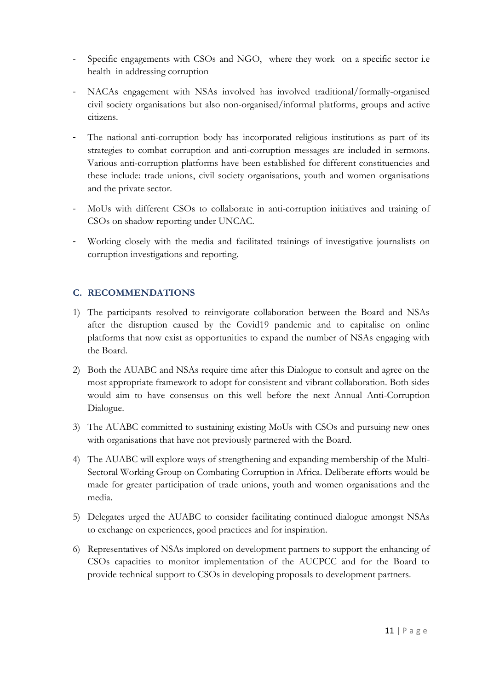- Specific engagements with CSOs and NGO, where they work on a specific sector i.e health in addressing corruption
- NACAs engagement with NSAs involved has involved traditional/formally-organised civil society organisations but also non-organised/informal platforms, groups and active citizens.
- The national anti-corruption body has incorporated religious institutions as part of its strategies to combat corruption and anti-corruption messages are included in sermons. Various anti-corruption platforms have been established for different constituencies and these include: trade unions, civil society organisations, youth and women organisations and the private sector.
- MoUs with different CSOs to collaborate in anti-corruption initiatives and training of CSOs on shadow reporting under UNCAC.
- Working closely with the media and facilitated trainings of investigative journalists on corruption investigations and reporting.

### **C. RECOMMENDATIONS**

- 1) The participants resolved to reinvigorate collaboration between the Board and NSAs after the disruption caused by the Covid19 pandemic and to capitalise on online platforms that now exist as opportunities to expand the number of NSAs engaging with the Board.
- 2) Both the AUABC and NSAs require time after this Dialogue to consult and agree on the most appropriate framework to adopt for consistent and vibrant collaboration. Both sides would aim to have consensus on this well before the next Annual Anti-Corruption Dialogue.
- 3) The AUABC committed to sustaining existing MoUs with CSOs and pursuing new ones with organisations that have not previously partnered with the Board.
- 4) The AUABC will explore ways of strengthening and expanding membership of the Multi-Sectoral Working Group on Combating Corruption in Africa. Deliberate efforts would be made for greater participation of trade unions, youth and women organisations and the media.
- 5) Delegates urged the AUABC to consider facilitating continued dialogue amongst NSAs to exchange on experiences, good practices and for inspiration.
- 6) Representatives of NSAs implored on development partners to support the enhancing of CSOs capacities to monitor implementation of the AUCPCC and for the Board to provide technical support to CSOs in developing proposals to development partners.